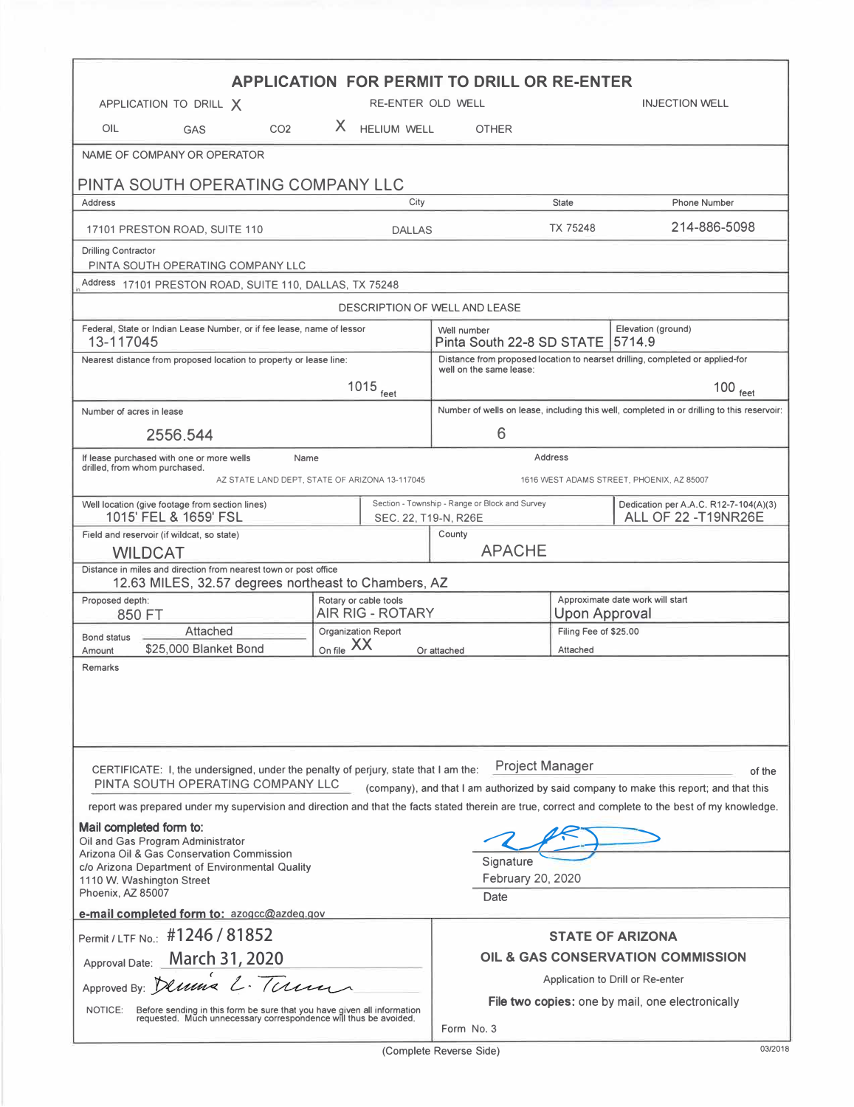| <b>APPLICATION FOR PERMIT TO DRILL OR RE-ENTER</b><br>RE-ENTER OLD WELL<br><b>INJECTION WELL</b><br>APPLICATION TO DRILL X                                                                                                                             |                                                                                                          |                                                                                            |                                                          |                                                                     |  |  |  |  |  |  |
|--------------------------------------------------------------------------------------------------------------------------------------------------------------------------------------------------------------------------------------------------------|----------------------------------------------------------------------------------------------------------|--------------------------------------------------------------------------------------------|----------------------------------------------------------|---------------------------------------------------------------------|--|--|--|--|--|--|
| CO <sub>2</sub><br>OIL                                                                                                                                                                                                                                 | X HELIUM WELL                                                                                            |                                                                                            |                                                          |                                                                     |  |  |  |  |  |  |
| <b>GAS</b>                                                                                                                                                                                                                                             |                                                                                                          | <b>OTHER</b>                                                                               |                                                          |                                                                     |  |  |  |  |  |  |
| NAME OF COMPANY OR OPERATOR                                                                                                                                                                                                                            |                                                                                                          |                                                                                            |                                                          |                                                                     |  |  |  |  |  |  |
| PINTA SOUTH OPERATING COMPANY LLC                                                                                                                                                                                                                      |                                                                                                          |                                                                                            | <b>State</b>                                             |                                                                     |  |  |  |  |  |  |
| Address                                                                                                                                                                                                                                                | City                                                                                                     |                                                                                            |                                                          | <b>Phone Number</b>                                                 |  |  |  |  |  |  |
| 17101 PRESTON ROAD, SUITE 110                                                                                                                                                                                                                          | <b>DALLAS</b>                                                                                            | 214-886-5098<br>TX 75248                                                                   |                                                          |                                                                     |  |  |  |  |  |  |
| <b>Drilling Contractor</b><br>PINTA SOUTH OPERATING COMPANY LLC                                                                                                                                                                                        |                                                                                                          |                                                                                            |                                                          |                                                                     |  |  |  |  |  |  |
| Address 17101 PRESTON ROAD, SUITE 110, DALLAS, TX 75248                                                                                                                                                                                                |                                                                                                          |                                                                                            |                                                          |                                                                     |  |  |  |  |  |  |
| DESCRIPTION OF WELL AND LEASE                                                                                                                                                                                                                          |                                                                                                          |                                                                                            |                                                          |                                                                     |  |  |  |  |  |  |
| Federal, State or Indian Lease Number, or if fee lease, name of lessor<br>13-117045                                                                                                                                                                    | Well number<br>Pinta South 22-8 SD STATE                                                                 | Elevation (ground)<br>5714.9                                                               |                                                          |                                                                     |  |  |  |  |  |  |
| Nearest distance from proposed location to property or lease line:                                                                                                                                                                                     | Distance from proposed location to nearset drilling, completed or applied-for<br>well on the same lease: |                                                                                            |                                                          |                                                                     |  |  |  |  |  |  |
|                                                                                                                                                                                                                                                        | $1015$ feet                                                                                              | $100$ feet                                                                                 |                                                          |                                                                     |  |  |  |  |  |  |
| Number of acres in lease                                                                                                                                                                                                                               |                                                                                                          | Number of wells on lease, including this well, completed in or drilling to this reservoir: |                                                          |                                                                     |  |  |  |  |  |  |
| 2556.544                                                                                                                                                                                                                                               |                                                                                                          | 6                                                                                          |                                                          |                                                                     |  |  |  |  |  |  |
| If lease purchased with one or more wells<br>Name<br>drilled, from whom purchased.                                                                                                                                                                     |                                                                                                          | Address                                                                                    |                                                          |                                                                     |  |  |  |  |  |  |
| AZ STATE LAND DEPT, STATE OF ARIZONA 13-117045<br>1616 WEST ADAMS STREET, PHOENIX, AZ 85007                                                                                                                                                            |                                                                                                          |                                                                                            |                                                          |                                                                     |  |  |  |  |  |  |
| Well location (give footage from section lines)<br>1015' FEL & 1659' FSL                                                                                                                                                                               |                                                                                                          | Section - Township - Range or Block and Survey<br>SEC. 22, T19-N, R26E                     |                                                          | Dedication per A.A.C. R12-7-104(A)(3)<br><b>ALL OF 22 -T19NR26E</b> |  |  |  |  |  |  |
| Field and reservoir (if wildcat, so state)                                                                                                                                                                                                             |                                                                                                          | County                                                                                     |                                                          |                                                                     |  |  |  |  |  |  |
| <b>APACHE</b><br><b>WILDCAT</b><br>Distance in miles and direction from nearest town or post office<br>12.63 MILES, 32.57 degrees northeast to Chambers, AZ                                                                                            |                                                                                                          |                                                                                            |                                                          |                                                                     |  |  |  |  |  |  |
| Proposed depth:<br>850 FT                                                                                                                                                                                                                              | Rotary or cable tools<br><b>AIR RIG - ROTARY</b>                                                         |                                                                                            | Approximate date work will start<br><b>Upon Approval</b> |                                                                     |  |  |  |  |  |  |
| Attached<br><b>Bond status</b>                                                                                                                                                                                                                         | <b>Organization Report</b>                                                                               |                                                                                            | Filing Fee of \$25.00                                    |                                                                     |  |  |  |  |  |  |
| \$25,000 Blanket Bond<br>Amount                                                                                                                                                                                                                        | On file XX                                                                                               | Or attached                                                                                | Attached                                                 |                                                                     |  |  |  |  |  |  |
| Remarks                                                                                                                                                                                                                                                |                                                                                                          |                                                                                            |                                                          |                                                                     |  |  |  |  |  |  |
| <b>Project Manager</b><br>CERTIFICATE: I, the undersigned, under the penalty of perjury, state that I am the:<br>of the<br>PINTA SOUTH OPERATING COMPANY LLC<br>(company), and that I am authorized by said company to make this report; and that this |                                                                                                          |                                                                                            |                                                          |                                                                     |  |  |  |  |  |  |
| report was prepared under my supervision and direction and that the facts stated therein are true, correct and complete to the best of my knowledge.                                                                                                   |                                                                                                          |                                                                                            |                                                          |                                                                     |  |  |  |  |  |  |
| Mail completed form to:<br>Oil and Gas Program Administrator<br>Arizona Oil & Gas Conservation Commission<br>Signature                                                                                                                                 |                                                                                                          |                                                                                            |                                                          |                                                                     |  |  |  |  |  |  |
| c/o Arizona Department of Environmental Quality<br>1110 W. Washington Street<br>Phoenix, AZ 85007                                                                                                                                                      | February 20, 2020<br>Date                                                                                |                                                                                            |                                                          |                                                                     |  |  |  |  |  |  |
| e-mail completed form to: azogcc@azdeg.gov                                                                                                                                                                                                             |                                                                                                          |                                                                                            |                                                          |                                                                     |  |  |  |  |  |  |
| Permit / LTF No.: #1246 / 81852                                                                                                                                                                                                                        |                                                                                                          |                                                                                            |                                                          | <b>STATE OF ARIZONA</b>                                             |  |  |  |  |  |  |
| Approval Date: March 31, 2020                                                                                                                                                                                                                          | OIL & GAS CONSERVATION COMMISSION                                                                        |                                                                                            |                                                          |                                                                     |  |  |  |  |  |  |
| Approved By: Demis L. Tum                                                                                                                                                                                                                              |                                                                                                          | Application to Drill or Re-enter                                                           |                                                          |                                                                     |  |  |  |  |  |  |
| NOTICE:<br>Before sending in this form be sure that you have given all information requested. Much unnecessary correspondence will thus be avoided.                                                                                                    |                                                                                                          | File two copies: one by mail, one electronically<br>Form No. 3                             |                                                          |                                                                     |  |  |  |  |  |  |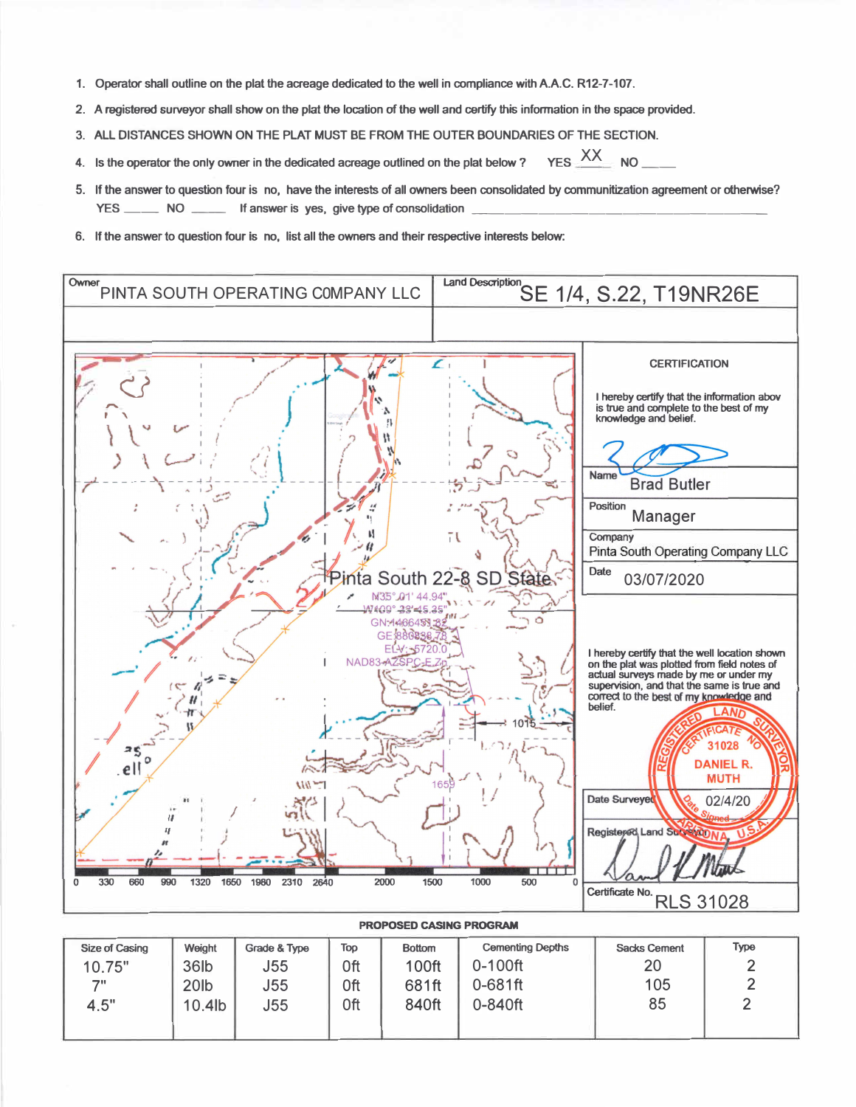- **1. Operator shall outline on the plat the acreage dedicated to the well in compliance withA.A.C. R12-7-107.**
- **2. A registered surveyor shall show on the plat the location of the well and certify this information in the space provided.**
- **3. ALL DISTANCES SHOWN ON THE PLAT MUST BE FROM THE OUTER BOUNDARIES OF THE SECTION.**
- **4.** Is the operator the only owner in the dedicated acreage outlined on the plat below ? YES  $\frac{XX}{XX}$  NO \_\_\_
- **5. If the answer to question four is no, have the interests of all owners been consolidated by communitization agreement or otherwise?** YES \_\_\_\_\_\_\_\_\_\_ NO \_\_\_\_\_\_\_\_\_\_ If answer is yes, give type of consolidation
- **6. If the answer to question four is no, list all the owners and their respective interests below:**



| Size of Casing | Weight           | Grade & Type | Top | <b>Bottom</b> | <b>Cementing Depths</b> | <b>Sacks Cement</b> | Type |
|----------------|------------------|--------------|-----|---------------|-------------------------|---------------------|------|
| 10.75"         | 36lb             | J55          | 0ft | <b>100ft</b>  | $0-100$ ft              | 20                  |      |
| 71             | 20 <sub>lb</sub> | J55          | 0ft | 681ft         | $0 - 681$ ft            | 105                 |      |
| 4.5"           | 10.4lb           | J55          | 0ft | 840ft         | 0-840ft                 | 85                  |      |
|                |                  |              |     |               |                         |                     |      |